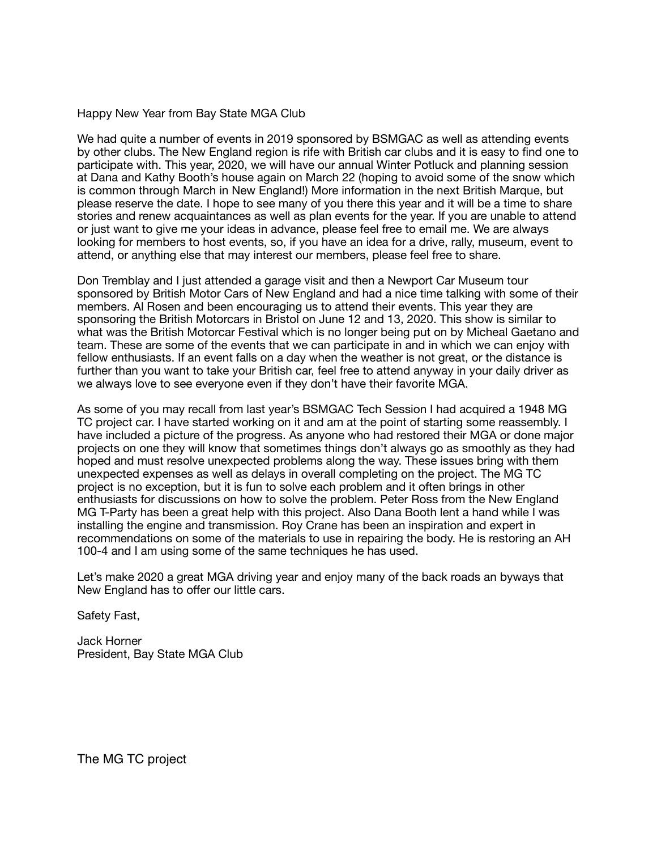Happy New Year from Bay State MGA Club

We had quite a number of events in 2019 sponsored by BSMGAC as well as attending events by other clubs. The New England region is rife with British car clubs and it is easy to find one to participate with. This year, 2020, we will have our annual Winter Potluck and planning session at Dana and Kathy Booth's house again on March 22 (hoping to avoid some of the snow which is common through March in New England!) More information in the next British Marque, but please reserve the date. I hope to see many of you there this year and it will be a time to share stories and renew acquaintances as well as plan events for the year. If you are unable to attend or just want to give me your ideas in advance, please feel free to email me. We are always looking for members to host events, so, if you have an idea for a drive, rally, museum, event to attend, or anything else that may interest our members, please feel free to share.

Don Tremblay and I just attended a garage visit and then a Newport Car Museum tour sponsored by British Motor Cars of New England and had a nice time talking with some of their members. Al Rosen and been encouraging us to attend their events. This year they are sponsoring the British Motorcars in Bristol on June 12 and 13, 2020. This show is similar to what was the British Motorcar Festival which is no longer being put on by Micheal Gaetano and team. These are some of the events that we can participate in and in which we can enjoy with fellow enthusiasts. If an event falls on a day when the weather is not great, or the distance is further than you want to take your British car, feel free to attend anyway in your daily driver as we always love to see everyone even if they don't have their favorite MGA.

As some of you may recall from last year's BSMGAC Tech Session I had acquired a 1948 MG TC project car. I have started working on it and am at the point of starting some reassembly. I have included a picture of the progress. As anyone who had restored their MGA or done major projects on one they will know that sometimes things don't always go as smoothly as they had hoped and must resolve unexpected problems along the way. These issues bring with them unexpected expenses as well as delays in overall completing on the project. The MG TC project is no exception, but it is fun to solve each problem and it often brings in other enthusiasts for discussions on how to solve the problem. Peter Ross from the New England MG T-Party has been a great help with this project. Also Dana Booth lent a hand while I was installing the engine and transmission. Roy Crane has been an inspiration and expert in recommendations on some of the materials to use in repairing the body. He is restoring an AH 100-4 and I am using some of the same techniques he has used.

Let's make 2020 a great MGA driving year and enjoy many of the back roads an byways that New England has to offer our little cars.

Safety Fast,

Jack Horner President, Bay State MGA Club

The MG TC project